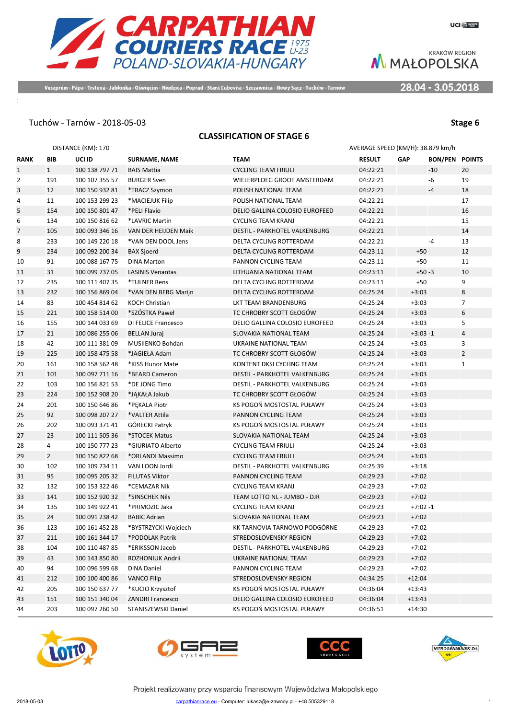

Veszprém - Pápa - Trstená - Jabłonka - Oświęcim - Niedzica - Poprad - Stará Ľubovňa - Szczawnica - Nowy Sącz - Tuchów - Tarnów

28.04 - 3.05.2018

## Tuchów - Tarnów - 2018-05-03 **Stage 6**

#### **CLASSIFICATION OF STAGE 6**

|                |                | DISTANCE (KM): 170 |                            |                                | AVERAGE SPEED (KM/H): 38.879 km/h |            |                       |                |
|----------------|----------------|--------------------|----------------------------|--------------------------------|-----------------------------------|------------|-----------------------|----------------|
| <b>RANK</b>    | <b>BIB</b>     | UCI ID             | <b>SURNAME, NAME</b>       | <b>TEAM</b>                    | <b>RESULT</b>                     | <b>GAP</b> | <b>BON/PEN POINTS</b> |                |
| $\mathbf{1}$   | 1              | 100 138 797 71     | <b>BAIS Mattia</b>         | <b>CYCLING TEAM FRIULI</b>     | 04:22:21                          |            | $-10$                 | 20             |
| $\overline{2}$ | 191            | 100 107 355 57     | <b>BURGER Sven</b>         | WIELERPLOEG GROOT AMSTERDAM    | 04:22:21                          |            | -6                    | 19             |
| 3              | 12             | 100 150 932 81     | *TRACZ Szymon              | POLISH NATIONAL TEAM           | 04:22:21                          |            | $-4$                  | 18             |
| 4              | 11             | 100 153 299 23     | *MACIEJUK Filip            | POLISH NATIONAL TEAM           | 04:22:21                          |            |                       | 17             |
| 5              | 154            | 100 150 801 47     | *PELI Flavio               | DELIO GALLINA COLOSIO EUROFEED | 04:22:21                          |            |                       | 16             |
| 6              | 134            | 100 150 816 62     | *LAVRIC Martin             | <b>CYCLING TEAM KRANJ</b>      | 04:22:21                          |            |                       | 15             |
| 7              | 105            | 100 093 346 16     | VAN DER HEIJDEN Maik       | DESTIL - PARKHOTEL VALKENBURG  | 04:22:21                          |            |                       | 14             |
| 8              | 233            | 100 149 220 18     | *VAN DEN DOOL Jens         | DELTA CYCLING ROTTERDAM        | 04:22:21                          |            | $-4$                  | 13             |
| 9              | 234            | 100 092 200 34     | <b>BAX Sjoerd</b>          | DELTA CYCLING ROTTERDAM        | 04:23:11                          | $+50$      |                       | 12             |
| 10             | 91             | 100 088 167 75     | <b>DINA Marton</b>         | PANNON CYCLING TEAM            | 04:23:11                          | $+50$      |                       | 11             |
| 11             | 31             | 100 099 737 05     | <b>LASINIS Venantas</b>    | LITHUANIA NATIONAL TEAM        | 04:23:11                          | $+50 - 3$  |                       | 10             |
| 12             | 235            | 100 111 407 35     | *TULNER Rens               | DELTA CYCLING ROTTERDAM        | 04:23:11                          | $+50$      |                       | 9              |
| 13             | 232            | 100 156 869 04     | *VAN DEN BERG Marijn       | DELTA CYCLING ROTTERDAM        | 04:25:24                          | $+3:03$    |                       | 8              |
| 14             | 83             | 100 454 814 62     | KOCH Christian             | LKT TEAM BRANDENBURG           | 04:25:24                          | $+3:03$    |                       | $\overline{7}$ |
| 15             | 221            | 100 158 514 00     | *SZÓSTKA Paweł             | TC CHROBRY SCOTT GŁOGÓW        | 04:25:24                          | $+3:03$    |                       | 6              |
| 16             | 155            | 100 144 033 69     | <b>DI FELICE Francesco</b> | DELIO GALLINA COLOSIO EUROFEED | 04:25:24                          | $+3:03$    |                       | 5              |
| 17             | 21             | 100 086 255 06     | <b>BELLAN Juraj</b>        | SLOVAKIA NATIONAL TEAM         | 04:25:24                          | $+3:03 -1$ |                       | $\overline{4}$ |
| 18             | 42             | 100 111 381 09     | MUSIIENKO Bohdan           | UKRAINE NATIONAL TEAM          | 04:25:24                          | $+3:03$    |                       | 3              |
| 19             | 225            | 100 158 475 58     | *JAGIEŁA Adam              | TC CHROBRY SCOTT GŁOGÓW        | 04:25:24                          | $+3:03$    |                       | $\overline{2}$ |
| 20             | 161            | 100 158 562 48     | *KISS Hunor Mate           | KONTENT DKSI CYCLING TEAM      | 04:25:24                          | $+3:03$    |                       | $\mathbf{1}$   |
| 21             | 101            | 100 097 711 16     | *BEARD Cameron             | DESTIL - PARKHOTEL VALKENBURG  | 04:25:24                          | $+3:03$    |                       |                |
| 22             | 103            | 100 156 821 53     | *DE JONG Timo              | DESTIL - PARKHOTEL VALKENBURG  | 04:25:24                          | $+3:03$    |                       |                |
| 23             | 224            | 100 152 908 20     | *JĄKAŁA Jakub              | TC CHROBRY SCOTT GŁOGÓW        | 04:25:24                          | $+3:03$    |                       |                |
| 24             | 201            | 100 150 646 86     | *PEKALA Piotr              | KS POGOŃ MOSTOSTAL PUŁAWY      | 04:25:24                          | $+3:03$    |                       |                |
| 25             | 92             | 100 098 207 27     | *VALTER Attila             | PANNON CYCLING TEAM            | 04:25:24                          | $+3:03$    |                       |                |
| 26             | 202            | 100 093 371 41     | GÓRECKI Patryk             | KS POGOŃ MOSTOSTAL PUŁAWY      | 04:25:24                          | $+3:03$    |                       |                |
| 27             | 23             | 100 111 505 36     | *STOCEK Matus              | SLOVAKIA NATIONAL TEAM         | 04:25:24                          | $+3:03$    |                       |                |
| 28             | 4              | 100 150 777 23     | *GIURIATO Alberto          | <b>CYCLING TEAM FRIULI</b>     | 04:25:24                          | $+3:03$    |                       |                |
| 29             | $\overline{2}$ | 100 150 822 68     | *ORLANDI Massimo           | <b>CYCLING TEAM FRIULI</b>     | 04:25:24                          | $+3:03$    |                       |                |
| 30             | 102            | 100 109 734 11     | VAN LOON Jordi             | DESTIL - PARKHOTEL VALKENBURG  | 04:25:39                          | $+3:18$    |                       |                |
| 31             | 95             | 100 095 205 32     | <b>FILUTAS Viktor</b>      | PANNON CYCLING TEAM            | 04:29:23                          | $+7:02$    |                       |                |
| 32             | 132            | 100 153 322 46     | *CEMAZAR Nik               | <b>CYCLING TEAM KRANJ</b>      | 04:29:23                          | $+7:02$    |                       |                |
| 33             | 141            | 100 152 920 32     | *SINSCHEK Nils             | TEAM LOTTO NL - JUMBO - DJR    | 04:29:23                          | $+7:02$    |                       |                |
| 34             | 135            | 100 149 922 41     | *PRIMOZIC Jaka             | <b>CYCLING TEAM KRANJ</b>      | 04:29:23                          | $+7:02 -1$ |                       |                |
| 35             | 24             | 100 091 238 42     | <b>BABIC Adrian</b>        | SLOVAKIA NATIONAL TEAM         | 04:29:23                          | $+7:02$    |                       |                |
| 36             | 123            | 100 161 452 28     | *BYSTRZYCKI Wojciech       | KK TARNOVIA TARNOWO PODGÓRNE   | 04:29:23                          | $+7:02$    |                       |                |
| 37             | 211            | 100 161 344 17     | *PODOLAK Patrik            | STREDOSLOVENSKY REGION         | 04:29:23                          | $+7:02$    |                       |                |
| 38             | 104            | 100 110 487 85     | *ERIKSSON Jacob            | DESTIL - PARKHOTEL VALKENBURG  | 04:29:23                          | $+7:02$    |                       |                |
| 39             | 43             | 100 143 850 80     | ROZHONIUK Andrii           | UKRAINE NATIONAL TEAM          | 04:29:23                          | $+7:02$    |                       |                |
| 40             | 94             | 100 096 599 68     | <b>DINA Daniel</b>         | PANNON CYCLING TEAM            | 04:29:23                          | $+7:02$    |                       |                |
| 41             | 212            | 100 100 400 86     | <b>VANCO Filip</b>         | STREDOSLOVENSKY REGION         | 04:34:25                          | $+12:04$   |                       |                |
| 42             | 205            | 100 150 637 77     | *KUCIO Krzysztof           | KS POGOŃ MOSTOSTAL PUŁAWY      | 04:36:04                          | $+13:43$   |                       |                |
| 43             | 151            | 100 151 340 04     | <b>ZANDRI Francesco</b>    | DELIO GALLINA COLOSIO EUROFEED | 04:36:04                          | $+13:43$   |                       |                |
| 44             | 203            | 100 097 260 50     | STANISZEWSKI Daniel        | KS POGOŃ MOSTOSTAL PUŁAWY      | 04:36:51                          | $+14:30$   |                       |                |







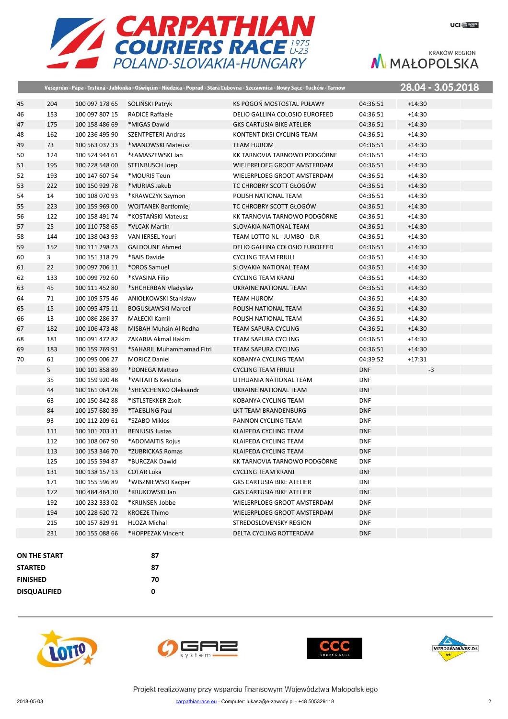



|    |                |                |                            | Veszprém - Pápa - Trstená - Jabłonka - Oświęcim - Niedzica - Poprad - Stará Ľubovňa - Szczawnica - Nowy Sącz - Tuchów - Tarnów |            | <u> 28.04 - 3.05.2018</u> |
|----|----------------|----------------|----------------------------|--------------------------------------------------------------------------------------------------------------------------------|------------|---------------------------|
| 45 | 204            | 100 097 178 65 | SOLIŃSKI Patryk            | KS POGOŃ MOSTOSTAL PUŁAWY                                                                                                      | 04:36:51   | $+14:30$                  |
| 46 | 153            | 100 097 807 15 | RADICE Raffaele            | DELIO GALLINA COLOSIO EUROFEED                                                                                                 | 04:36:51   | $+14:30$                  |
| 47 | 175            | 100 158 486 69 | *MIGAS Dawid               | <b>GKS CARTUSIA BIKE ATELIER</b>                                                                                               | 04:36:51   | $+14:30$                  |
| 48 | 162            | 100 236 495 90 | <b>SZENTPETERI Andras</b>  | KONTENT DKSI CYCLING TEAM                                                                                                      | 04:36:51   | $+14:30$                  |
| 49 | 73             | 100 563 037 33 | *MANOWSKI Mateusz          | TEAM HUROM                                                                                                                     | 04:36:51   | $+14:30$                  |
| 50 | 124            | 100 524 944 61 | *ŁAMASZEWSKI Jan           | KK TARNOVIA TARNOWO PODGÓRNE                                                                                                   | 04:36:51   | $+14:30$                  |
| 51 | 195            | 100 228 548 00 | <b>STEINBUSCH Joep</b>     | WIELERPLOEG GROOT AMSTERDAM                                                                                                    | 04:36:51   | $+14:30$                  |
| 52 | 193            | 100 147 607 54 | *MOURIS Teun               | WIELERPLOEG GROOT AMSTERDAM                                                                                                    | 04:36:51   | $+14:30$                  |
| 53 | 222            | 100 150 929 78 | *MURIAS Jakub              | TC CHROBRY SCOTT GŁOGÓW                                                                                                        | 04:36:51   | $+14:30$                  |
| 54 | 14             | 100 108 070 93 | *KRAWCZYK Szymon           | POLISH NATIONAL TEAM                                                                                                           | 04:36:51   | $+14:30$                  |
| 55 | 223            | 100 159 969 00 | <b>WOJTANEK Bartłomiej</b> | TC CHROBRY SCOTT GŁOGÓW                                                                                                        | 04:36:51   | $+14:30$                  |
| 56 | 122            | 100 158 491 74 | *KOSTAŃSKI Mateusz         | KK TARNOVIA TARNOWO PODGÓRNE                                                                                                   | 04:36:51   | $+14:30$                  |
| 57 | 25             | 100 110 758 65 | *VLCAK Martin              | SLOVAKIA NATIONAL TEAM                                                                                                         | 04:36:51   | $+14:30$                  |
| 58 | 144            | 100 138 043 93 | VAN IERSEL Youri           | TEAM LOTTO NL - JUMBO - DJR                                                                                                    | 04:36:51   | $+14:30$                  |
| 59 | 152            | 100 111 298 23 | <b>GALDOUNE Ahmed</b>      | DELIO GALLINA COLOSIO EUROFEED                                                                                                 | 04:36:51   | $+14:30$                  |
| 60 | $\overline{3}$ | 100 151 318 79 | *BAIS Davide               | <b>CYCLING TEAM FRIULI</b>                                                                                                     | 04:36:51   | $+14:30$                  |
| 61 | 22             | 100 097 706 11 | *OROS Samuel               | SLOVAKIA NATIONAL TEAM                                                                                                         | 04:36:51   | $+14:30$                  |
| 62 | 133            | 100 099 792 60 | *KVASINA Filip             | <b>CYCLING TEAM KRANJ</b>                                                                                                      | 04:36:51   | $+14:30$                  |
| 63 | 45             | 100 111 452 80 | *SHCHERBAN Vladyslav       | UKRAINE NATIONAL TEAM                                                                                                          | 04:36:51   | $+14:30$                  |
| 64 | 71             | 100 109 575 46 | ANIOŁKOWSKI Stanisław      | <b>TEAM HUROM</b>                                                                                                              | 04:36:51   | $+14:30$                  |
| 65 | 15             | 100 095 475 11 | <b>BOGUSŁAWSKI Marceli</b> | POLISH NATIONAL TEAM                                                                                                           | 04:36:51   | $+14:30$                  |
| 66 | 13             | 100 086 286 37 | MAŁECKI Kamil              | POLISH NATIONAL TEAM                                                                                                           | 04:36:51   | $+14:30$                  |
| 67 | 182            | 100 106 473 48 | MISBAH Muhsin Al Redha     | <b>TEAM SAPURA CYCLING</b>                                                                                                     | 04:36:51   | $+14:30$                  |
| 68 | 181            | 100 091 472 82 | ZAKARIA Akmal Hakim        | <b>TEAM SAPURA CYCLING</b>                                                                                                     | 04:36:51   | $+14:30$                  |
| 69 | 183            | 100 159 769 91 | *SAHARIL Muhammamad Fitri  | <b>TEAM SAPURA CYCLING</b>                                                                                                     | 04:36:51   | $+14:30$                  |
| 70 | 61             | 100 095 006 27 | <b>MORICZ Daniel</b>       | KOBANYA CYCLING TEAM                                                                                                           | 04:39:52   | $+17:31$                  |
|    | 5              | 100 101 858 89 | *DONEGA Matteo             | <b>CYCLING TEAM FRIULI</b>                                                                                                     | <b>DNF</b> | $-3$                      |
|    | 35             | 100 159 920 48 | *VAITAITIS Kestutis        | LITHUANIA NATIONAL TEAM                                                                                                        | <b>DNF</b> |                           |
|    | 44             | 100 161 064 28 | *SHEVCHENKO Oleksandr      | UKRAINE NATIONAL TEAM                                                                                                          | <b>DNF</b> |                           |
|    | 63             | 100 150 842 88 | *ISTLSTEKKER Zsolt         | KOBANYA CYCLING TEAM                                                                                                           | <b>DNF</b> |                           |
|    | 84             | 100 157 680 39 | *TAEBLING Paul             | LKT TEAM BRANDENBURG                                                                                                           | <b>DNF</b> |                           |
|    | 93             | 100 112 209 61 | *SZABO Miklos              | PANNON CYCLING TEAM                                                                                                            | <b>DNF</b> |                           |
|    | 111            | 100 101 703 31 | <b>BENIUSIS Justas</b>     | KLAIPEDA CYCLING TEAM                                                                                                          | <b>DNF</b> |                           |
|    | 112            | 100 108 067 90 | *ADOMAITIS Rojus           | KLAIPEDA CYCLING TEAM                                                                                                          | <b>DNF</b> |                           |
|    | 113            | 100 153 346 70 | *ZUBRICKAS Romas           | KLAIPEDA CYCLING TEAM                                                                                                          | <b>DNF</b> |                           |
|    | 125            | 100 155 594 87 | *BURCZAK Dawid             | KK TARNOVIA TARNOWO PODGÓRNE                                                                                                   | <b>DNF</b> |                           |
|    | 131            | 100 138 157 13 | <b>COTAR Luka</b>          | <b>CYCLING TEAM KRANJ</b>                                                                                                      | <b>DNF</b> |                           |
|    | 171            | 100 155 596 89 | *WISZNIEWSKI Kacper        | <b>GKS CARTUSIA BIKE ATELIER</b>                                                                                               | <b>DNF</b> |                           |
|    | 172            | 100 484 464 30 | *KRUKOWSKI Jan             | <b>GKS CARTUSIA BIKE ATELIER</b>                                                                                               | <b>DNF</b> |                           |
|    | 192            | 100 232 333 02 | *KRIJNSEN Jobbe            | WIELERPLOEG GROOT AMSTERDAM                                                                                                    | <b>DNF</b> |                           |
|    | 194            | 100 228 620 72 | <b>KROEZE Thimo</b>        | WIELERPLOEG GROOT AMSTERDAM                                                                                                    | <b>DNF</b> |                           |
|    | 215            | 100 157 829 91 | HLOZA Michal               | STREDOSLOVENSKY REGION                                                                                                         | <b>DNF</b> |                           |
|    | 231            | 100 155 088 66 | *HOPPEZAK Vincent          | DELTA CYCLING ROTTERDAM                                                                                                        | <b>DNF</b> |                           |
|    |                |                |                            |                                                                                                                                |            |                           |
|    | ON THE START   |                | 87                         |                                                                                                                                |            |                           |
|    |                |                |                            |                                                                                                                                |            |                           |









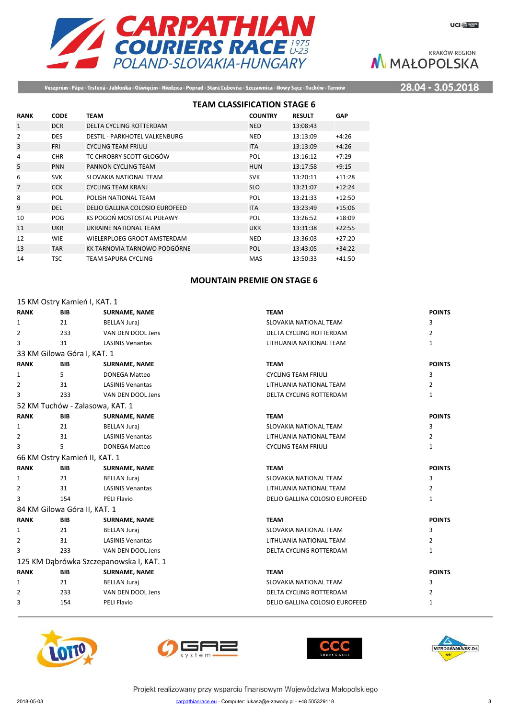

Veszprém - Pápa - Trstená - Jabłonka - Oświęcim - Niedzica - Poprad - Stará Ľubovňa - Szczawnica - Nowy Sącz - Tuchów - Tarnów

28.04 - 3.05.2018

|                |             |                                | <b>TEAM CLASSIFICATION STAGE 6</b> |                |               |            |
|----------------|-------------|--------------------------------|------------------------------------|----------------|---------------|------------|
| <b>RANK</b>    | <b>CODE</b> | <b>TEAM</b>                    |                                    | <b>COUNTRY</b> | <b>RESULT</b> | <b>GAP</b> |
| $\mathbf{1}$   | <b>DCR</b>  | DELTA CYCLING ROTTERDAM        |                                    | <b>NED</b>     | 13:08:43      |            |
| 2              | <b>DES</b>  | DESTIL - PARKHOTEL VALKENBURG  |                                    | <b>NED</b>     | 13:13:09      | $+4:26$    |
| 3              | <b>FRI</b>  | <b>CYCLING TEAM FRIULI</b>     |                                    | <b>ITA</b>     | 13:13:09      | $+4:26$    |
| 4              | <b>CHR</b>  | TC CHROBRY SCOTT GŁOGÓW        |                                    | POL            | 13:16:12      | $+7:29$    |
| 5              | <b>PNN</b>  | PANNON CYCLING TEAM            |                                    | <b>HUN</b>     | 13:17:58      | $+9:15$    |
| 6              | <b>SVK</b>  | SLOVAKIA NATIONAL TEAM         |                                    | <b>SVK</b>     | 13:20:11      | $+11:28$   |
| $\overline{7}$ | <b>CCK</b>  | <b>CYCLING TEAM KRANJ</b>      |                                    | <b>SLO</b>     | 13:21:07      | $+12:24$   |
| 8              | POL         | POLISH NATIONAL TEAM           |                                    | POL            | 13:21:33      | $+12:50$   |
| 9              | DEL         | DELIO GALLINA COLOSIO EUROFEED |                                    | <b>ITA</b>     | 13:23:49      | $+15:06$   |
| 10             | POG         | KS POGOŃ MOSTOSTAL PUŁAWY      |                                    | POL            | 13:26:52      | $+18:09$   |
| 11             | <b>UKR</b>  | UKRAINE NATIONAL TEAM          |                                    | <b>UKR</b>     | 13:31:38      | $+22:55$   |
| 12             | <b>WIE</b>  | WIELERPLOEG GROOT AMSTERDAM    |                                    | <b>NED</b>     | 13:36:03      | $+27:20$   |
| 13             | <b>TAR</b>  | KK TARNOVIA TARNOWO PODGÓRNE   |                                    | POL            | 13:43:05      | $+34:22$   |
| 14             | <b>TSC</b>  | TEAM SAPURA CYCLING            |                                    | <b>MAS</b>     | 13:50:33      | $+41:50$   |

## **MOUNTAIN PREMIE ON STAGE 6**

|                | 15 KM Ostry Kamień I, KAT. 1 |                                         |                                |                |
|----------------|------------------------------|-----------------------------------------|--------------------------------|----------------|
| <b>RANK</b>    | <b>BIB</b>                   | <b>SURNAME, NAME</b>                    | <b>TEAM</b>                    | <b>POINTS</b>  |
| 1              | 21                           | <b>BELLAN Juraj</b>                     | SLOVAKIA NATIONAL TEAM         | 3              |
| $\overline{2}$ | 233                          | VAN DEN DOOL Jens                       | DELTA CYCLING ROTTERDAM        | $\overline{2}$ |
| 3              | 31                           | <b>LASINIS Venantas</b>                 | LITHUANIA NATIONAL TEAM        | $\mathbf{1}$   |
|                | 33 KM Gilowa Góra I, KAT. 1  |                                         |                                |                |
| <b>RANK</b>    | <b>BIB</b>                   | <b>SURNAME, NAME</b>                    | <b>TEAM</b>                    | <b>POINTS</b>  |
| $\mathbf{1}$   | 5                            | <b>DONEGA Matteo</b>                    | <b>CYCLING TEAM FRIULI</b>     | 3              |
| $\overline{2}$ | 31                           | <b>LASINIS Venantas</b>                 | LITHUANIA NATIONAL TEAM        | 2              |
| 3              | 233                          | VAN DEN DOOL Jens                       | DELTA CYCLING ROTTERDAM        | $\mathbf{1}$   |
|                |                              | 52 KM Tuchów - Zalasowa, KAT. 1         |                                |                |
| <b>RANK</b>    | <b>BIB</b>                   | <b>SURNAME, NAME</b>                    | <b>TEAM</b>                    | <b>POINTS</b>  |
| $\mathbf{1}$   | 21                           | <b>BELLAN Juraj</b>                     | SLOVAKIA NATIONAL TEAM         | 3              |
| $\overline{2}$ | 31                           | <b>LASINIS Venantas</b>                 | LITHUANIA NATIONAL TEAM        | $\overline{2}$ |
| 3              | 5                            | <b>DONEGA Matteo</b>                    | <b>CYCLING TEAM FRIULI</b>     | $\mathbf{1}$   |
|                |                              | 66 KM Ostry Kamień II, KAT. 1           |                                |                |
| <b>RANK</b>    | <b>BIB</b>                   | <b>SURNAME, NAME</b>                    | <b>TEAM</b>                    | <b>POINTS</b>  |
| 1              | 21                           | <b>BELLAN Juraj</b>                     | SLOVAKIA NATIONAL TEAM         | 3              |
| 2              | 31                           | <b>LASINIS Venantas</b>                 | LITHUANIA NATIONAL TEAM        | $\overline{2}$ |
| 3              | 154                          | <b>PELI Flavio</b>                      | DELIO GALLINA COLOSIO EUROFEED | $\mathbf{1}$   |
|                | 84 KM Gilowa Góra II, KAT. 1 |                                         |                                |                |
| <b>RANK</b>    | <b>BIB</b>                   | <b>SURNAME, NAME</b>                    | <b>TEAM</b>                    | <b>POINTS</b>  |
| 1              | 21                           | <b>BELLAN Juraj</b>                     | SLOVAKIA NATIONAL TEAM         | 3              |
| 2              | 31                           | <b>LASINIS Venantas</b>                 | LITHUANIA NATIONAL TEAM        | 2              |
| 3              | 233                          | VAN DEN DOOL Jens                       | DELTA CYCLING ROTTERDAM        | 1              |
|                |                              | 125 KM Dąbrówka Szczepanowska I, KAT. 1 |                                |                |
| <b>RANK</b>    | <b>BIB</b>                   | <b>SURNAME, NAME</b>                    | <b>TEAM</b>                    | <b>POINTS</b>  |
| 1              | 21                           | <b>BELLAN Juraj</b>                     | SLOVAKIA NATIONAL TEAM         | 3              |
| 2              | 233                          | VAN DEN DOOL Jens                       | DELTA CYCLING ROTTERDAM        | 2              |
| 3              | 154                          | PELI Flavio                             | DELIO GALLINA COLOSIO EUROFEED | 1              |







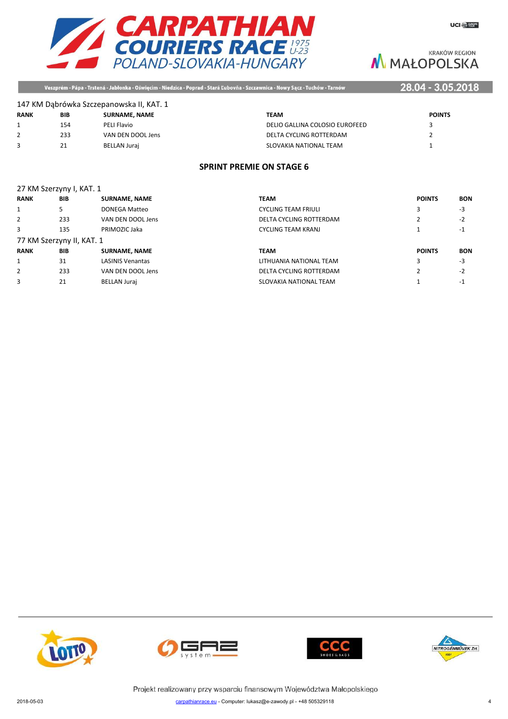

Veszprém - Pápa - Trstená - Jabłonka - Oświęcim - Niedzica - Poprad - Stará Ľubovňa - Szczawnica - Nowy Sącz - Tuchów - Tarnów

## 28.04 - 3.05.2018

|             |     | 147 KM Dabrówka Szczepanowska II, KAT. 1 |                                |               |
|-------------|-----|------------------------------------------|--------------------------------|---------------|
| <b>RANK</b> | BIB | <b>SURNAME, NAME</b>                     | <b>TEAM</b>                    | <b>POINTS</b> |
|             | 154 | PELI Flavio                              | DELIO GALLINA COLOSIO EUROFEED |               |
|             | 233 | VAN DEN DOOL Jens                        | DELTA CYCLING ROTTERDAM        |               |
|             | 21  | <b>BELLAN Juraj</b>                      | SLOVAKIA NATIONAL TEAM         |               |

## **SPRINT PREMIE ON STAGE 6**

# 27 KM Szerzyny I, KAT. 1 **RANK BIB SURNAME, NAME POINTS POINTS POINTS POINTS POINTS POINTS POINTS POINTS POINTS POINTS POINTS POINTS POINTS POINTS POINTS POINTS POINTS POINTS POINTS POINTS POINTS POI** 2 233 VAN DEN DOOL Jens 77 KM Szerzyny II, KAT. 1 **RANK BIB SURNAME, NAME** 1 31 LASINIS Venantas

| RANK        | BIB.                      | SURNAME, NAME           | TEAM                       | <b>POINTS</b> | <b>BON</b> |
|-------------|---------------------------|-------------------------|----------------------------|---------------|------------|
|             |                           | DONEGA Matteo           | <b>CYCLING TEAM FRIULI</b> |               | -3         |
|             | 233                       | VAN DEN DOOL Jens       | DELTA CYCLING ROTTERDAM    |               | $-2$       |
|             | 135                       | PRIMOZIC Jaka           | <b>CYCLING TEAM KRANJ</b>  |               | -1         |
|             | 77 KM Szerzyny II, KAT. 1 |                         |                            |               |            |
| <b>RANK</b> | <b>BIB</b>                | <b>SURNAME, NAME</b>    | <b>TEAM</b>                | <b>POINTS</b> | <b>BON</b> |
|             | 31                        | <b>LASINIS Venantas</b> | LITHUANIA NATIONAL TEAM    |               | -3         |
|             | 233                       | VAN DEN DOOL Jens       | DELTA CYCLING ROTTERDAM    |               | $-2$       |
|             | 21                        | <b>BELLAN Jurai</b>     | SLOVAKIA NATIONAL TEAM     |               | - 1        |







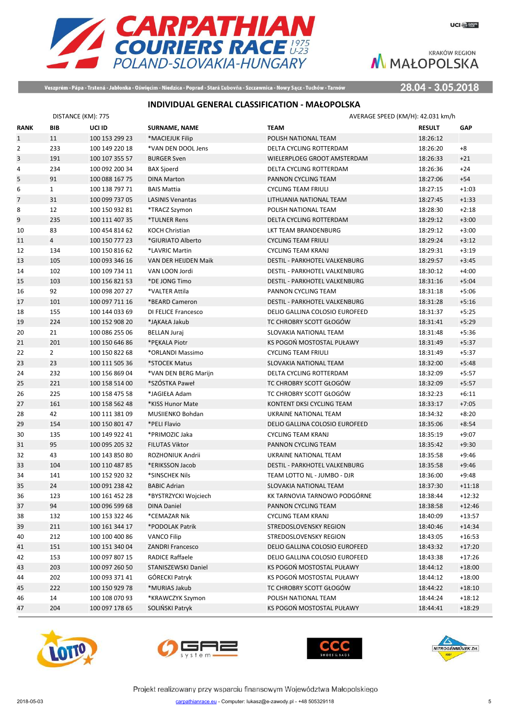

Veszprém - Pápa - Trstená - Jabłonka - Oświęcim - Niedzica - Poprad - Stará Ľubovňa - Szczawnica - Nowy Sącz - Tuchów - Tarnów

28.04 - 3.05.2018

# **INDIVIDUAL GENERAL CLASSIFICATION - MAŁOPOLSKA**

|                | DISTANCE (KM): 775 |                |                         | AVERAGE SPEED (KM/H): 42.031 km/h |               |            |
|----------------|--------------------|----------------|-------------------------|-----------------------------------|---------------|------------|
| <b>RANK</b>    | <b>BIB</b>         | UCI ID         | <b>SURNAME, NAME</b>    | <b>TEAM</b>                       | <b>RESULT</b> | <b>GAP</b> |
| $\mathbf{1}$   | 11                 | 100 153 299 23 | *MACIEJUK Filip         | POLISH NATIONAL TEAM              | 18:26:12      |            |
| $\overline{2}$ | 233                | 100 149 220 18 | *VAN DEN DOOL Jens      | DELTA CYCLING ROTTERDAM           | 18:26:20      | $+8$       |
| 3              | 191                | 100 107 355 57 | <b>BURGER Sven</b>      | WIELERPLOEG GROOT AMSTERDAM       | 18:26:33      | $+21$      |
| 4              | 234                | 100 092 200 34 | <b>BAX Sjoerd</b>       | DELTA CYCLING ROTTERDAM           | 18:26:36      | $+24$      |
| 5              | 91                 | 100 088 167 75 | <b>DINA Marton</b>      | PANNON CYCLING TEAM               | 18:27:06      | $+54$      |
| 6              | $\mathbf{1}$       | 100 138 797 71 | <b>BAIS Mattia</b>      | <b>CYCLING TEAM FRIULI</b>        | 18:27:15      | $+1:03$    |
| $\overline{7}$ | 31                 | 100 099 737 05 | <b>LASINIS Venantas</b> | LITHUANIA NATIONAL TEAM           | 18:27:45      | $+1:33$    |
| 8              | 12                 | 100 150 932 81 | *TRACZ Szymon           | POLISH NATIONAL TEAM              | 18:28:30      | $+2:18$    |
| 9              | 235                | 100 111 407 35 | *TULNER Rens            | DELTA CYCLING ROTTERDAM           | 18:29:12      | $+3:00$    |
| 10             | 83                 | 100 454 814 62 | <b>KOCH Christian</b>   | LKT TEAM BRANDENBURG              | 18:29:12      | $+3:00$    |
| 11             | $\overline{4}$     | 100 150 777 23 | *GIURIATO Alberto       | <b>CYCLING TEAM FRIULI</b>        | 18:29:24      | $+3:12$    |
| 12             | 134                | 100 150 816 62 | *LAVRIC Martin          | <b>CYCLING TEAM KRANJ</b>         | 18:29:31      | $+3:19$    |
| 13             | 105                | 100 093 346 16 | VAN DER HEIJDEN Maik    | DESTIL - PARKHOTEL VALKENBURG     | 18:29:57      | $+3:45$    |
| 14             | 102                | 100 109 734 11 | VAN LOON Jordi          | DESTIL - PARKHOTEL VALKENBURG     | 18:30:12      | $+4:00$    |
| 15             | 103                | 100 156 821 53 | *DE JONG Timo           | DESTIL - PARKHOTEL VALKENBURG     | 18:31:16      | $+5:04$    |
| 16             | 92                 | 100 098 207 27 | *VALTER Attila          | PANNON CYCLING TEAM               | 18:31:18      | $+5:06$    |
| 17             | 101                | 100 097 711 16 | *BEARD Cameron          | DESTIL - PARKHOTEL VALKENBURG     | 18:31:28      | $+5:16$    |
| 18             | 155                | 100 144 033 69 | DI FELICE Francesco     | DELIO GALLINA COLOSIO EUROFEED    | 18:31:37      | $+5:25$    |
| 19             | 224                | 100 152 908 20 | *JĄKAŁA Jakub           | TC CHROBRY SCOTT GŁOGÓW           | 18:31:41      | $+5:29$    |
| 20             | 21                 | 100 086 255 06 | <b>BELLAN Juraj</b>     | SLOVAKIA NATIONAL TEAM            | 18:31:48      | $+5:36$    |
| 21             | 201                | 100 150 646 86 | *PEKALA Piotr           | KS POGOŃ MOSTOSTAL PUŁAWY         | 18:31:49      | $+5:37$    |
| 22             | $\overline{2}$     | 100 150 822 68 | *ORLANDI Massimo        | <b>CYCLING TEAM FRIULI</b>        | 18:31:49      | $+5:37$    |
| 23             | 23                 | 100 111 505 36 | *STOCEK Matus           | SLOVAKIA NATIONAL TEAM            | 18:32:00      | $+5:48$    |
| 24             | 232                | 100 156 869 04 | *VAN DEN BERG Marijn    | DELTA CYCLING ROTTERDAM           | 18:32:09      | $+5:57$    |
| 25             | 221                | 100 158 514 00 | *SZÓSTKA Paweł          | TC CHROBRY SCOTT GŁOGÓW           | 18:32:09      | $+5:57$    |
| 26             | 225                | 100 158 475 58 | *JAGIEŁA Adam           | TC CHROBRY SCOTT GŁOGÓW           | 18:32:23      | $+6:11$    |
| 27             | 161                | 100 158 562 48 | *KISS Hunor Mate        | KONTENT DKSI CYCLING TEAM         | 18:33:17      | $+7:05$    |
| 28             | 42                 | 100 111 381 09 | MUSIIENKO Bohdan        | UKRAINE NATIONAL TEAM             | 18:34:32      | $+8:20$    |
| 29             | 154                | 100 150 801 47 | *PELI Flavio            | DELIO GALLINA COLOSIO EUROFEED    | 18:35:06      | $+8:54$    |
| 30             | 135                | 100 149 922 41 | *PRIMOZIC Jaka          | <b>CYCLING TEAM KRANJ</b>         | 18:35:19      | $+9:07$    |
| 31             | 95                 | 100 095 205 32 | <b>FILUTAS Viktor</b>   | PANNON CYCLING TEAM               | 18:35:42      | $+9:30$    |
| 32             | 43                 | 100 143 850 80 | ROZHONIUK Andrii        | UKRAINE NATIONAL TEAM             | 18:35:58      | $+9:46$    |
| 33             | 104                | 100 110 487 85 | *ERIKSSON Jacob         | DESTIL - PARKHOTEL VALKENBURG     | 18:35:58      | $+9:46$    |
| 34             | 141                | 100 152 920 32 | *SINSCHEK Nils          | TEAM LOTTO NL - JUMBO - DJR       | 18:36:00      | $+9:48$    |
| 35             | 24                 | 100 091 238 42 | <b>BABIC Adrian</b>     | SLOVAKIA NATIONAL TEAM            | 18:37:30      | $+11:18$   |
| 36             | 123                | 100 161 452 28 | *BYSTRZYCKI Wojciech    | KK TARNOVIA TARNOWO PODGÓRNE      | 18:38:44      | $+12:32$   |
| 37             | 94                 | 100 096 599 68 | DINA Daniel             | PANNON CYCLING TEAM               | 18:38:58      | $+12:46$   |
| 38             | 132                | 100 153 322 46 | *CEMAZAR Nik            | <b>CYCLING TEAM KRANJ</b>         | 18:40:09      | $+13:57$   |
| 39             | 211                | 100 161 344 17 | *PODOLAK Patrik         | STREDOSLOVENSKY REGION            | 18:40:46      | $+14:34$   |
| 40             | 212                | 100 100 400 86 | <b>VANCO Filip</b>      | STREDOSLOVENSKY REGION            | 18:43:05      | $+16:53$   |
| 41             | 151                | 100 151 340 04 | <b>ZANDRI Francesco</b> | DELIO GALLINA COLOSIO EUROFEED    | 18:43:32      | $+17:20$   |
| 42             | 153                | 100 097 807 15 | RADICE Raffaele         | DELIO GALLINA COLOSIO EUROFEED    | 18:43:38      | $+17:26$   |
| 43             | 203                | 100 097 260 50 | STANISZEWSKI Daniel     | KS POGOŃ MOSTOSTAL PUŁAWY         | 18:44:12      | $+18:00$   |
| 44             | 202                | 100 093 371 41 | GÓRECKI Patryk          | KS POGOŃ MOSTOSTAL PUŁAWY         | 18:44:12      | $+18:00$   |
| 45             | 222                | 100 150 929 78 | *MURIAS Jakub           | TC CHROBRY SCOTT GŁOGÓW           | 18:44:22      | $+18:10$   |
| 46             | 14                 | 100 108 070 93 | *KRAWCZYK Szymon        | POLISH NATIONAL TEAM              | 18:44:24      | $+18:12$   |
| 47             | 204                | 100 097 178 65 | SOLIŃSKI Patryk         | KS POGOŃ MOSTOSTAL PUŁAWY         | 18:44:41      | $+18:29$   |







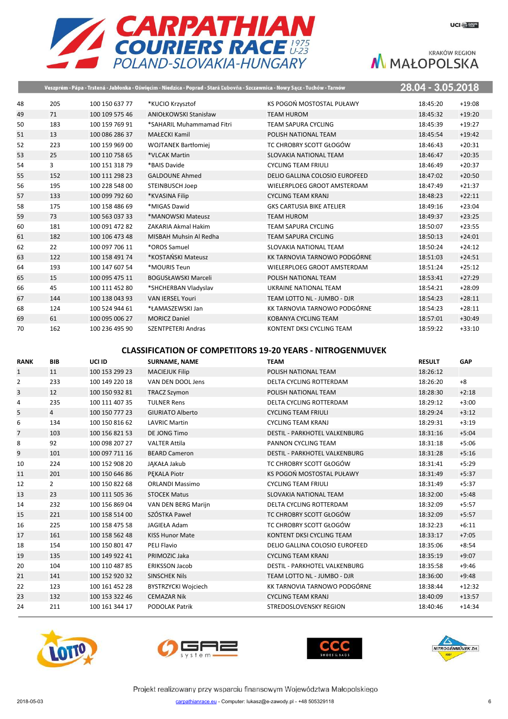

|    |     |                | Veszprém - Pápa - Trstená - Jabłonka - Oświęcim - Niedzica - Poprad - Stará Ľubovňa - Szczawnica - Nowy Sącz - Tuchów - Tarnów |                                  | 28.04 - 3.05.2018 |          |
|----|-----|----------------|--------------------------------------------------------------------------------------------------------------------------------|----------------------------------|-------------------|----------|
| 48 | 205 | 100 150 637 77 | *KUCIO Krzysztof                                                                                                               | KS POGOŃ MOSTOSTAL PUŁAWY        | 18:45:20          | $+19:08$ |
| 49 | 71  | 100 109 575 46 | <b>ANIOŁKOWSKI Stanisław</b>                                                                                                   | <b>TEAM HUROM</b>                | 18:45:32          | $+19:20$ |
| 50 | 183 | 100 159 769 91 | *SAHARIL Muhammamad Fitri                                                                                                      | <b>TEAM SAPURA CYCLING</b>       | 18:45:39          | $+19:27$ |
| 51 | 13  | 100 086 286 37 | <b>MAŁECKI Kamil</b>                                                                                                           | POLISH NATIONAL TEAM             | 18:45:54          | $+19:42$ |
| 52 | 223 | 100 159 969 00 | <b>WOJTANEK Bartłomiej</b>                                                                                                     | TC CHROBRY SCOTT GŁOGÓW          | 18:46:43          | $+20:31$ |
| 53 | 25  | 100 110 758 65 | *VLCAK Martin                                                                                                                  | SLOVAKIA NATIONAL TEAM           | 18:46:47          | $+20:35$ |
| 54 | 3   | 100 151 318 79 | *BAIS Davide                                                                                                                   | <b>CYCLING TEAM FRIULI</b>       | 18:46:49          | $+20:37$ |
| 55 | 152 | 100 111 298 23 | <b>GALDOUNE Ahmed</b>                                                                                                          | DELIO GALLINA COLOSIO EUROFEED   | 18:47:02          | $+20:50$ |
| 56 | 195 | 100 228 548 00 | <b>STEINBUSCH Joep</b>                                                                                                         | WIELERPLOEG GROOT AMSTERDAM      | 18:47:49          | $+21:37$ |
| 57 | 133 | 100 099 792 60 | *KVASINA Filip                                                                                                                 | <b>CYCLING TEAM KRANJ</b>        | 18:48:23          | $+22:11$ |
| 58 | 175 | 100 158 486 69 | *MIGAS Dawid                                                                                                                   | <b>GKS CARTUSIA BIKE ATELIER</b> | 18:49:16          | $+23:04$ |
| 59 | 73  | 100 563 037 33 | *MANOWSKI Mateusz                                                                                                              | <b>TEAM HUROM</b>                | 18:49:37          | $+23:25$ |
| 60 | 181 | 100 091 472 82 | ZAKARIA Akmal Hakim                                                                                                            | <b>TEAM SAPURA CYCLING</b>       | 18:50:07          | $+23:55$ |
| 61 | 182 | 100 106 473 48 | MISBAH Muhsin Al Redha                                                                                                         | <b>TEAM SAPURA CYCLING</b>       | 18:50:13          | $+24:01$ |
| 62 | 22  | 100 097 706 11 | *OROS Samuel                                                                                                                   | SLOVAKIA NATIONAL TEAM           | 18:50:24          | $+24:12$ |
| 63 | 122 | 100 158 491 74 | *KOSTAŃSKI Mateusz                                                                                                             | KK TARNOVIA TARNOWO PODGÓRNE     | 18:51:03          | $+24:51$ |
| 64 | 193 | 100 147 607 54 | *MOURIS Teun                                                                                                                   | WIELERPLOEG GROOT AMSTERDAM      | 18:51:24          | $+25:12$ |
| 65 | 15  | 100 095 475 11 | <b>BOGUSŁAWSKI Marceli</b>                                                                                                     | POLISH NATIONAL TEAM             | 18:53:41          | $+27:29$ |
| 66 | 45  | 100 111 452 80 | *SHCHERBAN Vladyslav                                                                                                           | UKRAINE NATIONAL TEAM            | 18:54:21          | $+28:09$ |
| 67 | 144 | 100 138 043 93 | <b>VAN IERSEL Youri</b>                                                                                                        | TEAM LOTTO NL - JUMBO - DJR      | 18:54:23          | $+28:11$ |
| 68 | 124 | 100 524 944 61 | *ŁAMASZEWSKI Jan                                                                                                               | KK TARNOVIA TARNOWO PODGÓRNE     | 18:54:23          | $+28:11$ |
| 69 | 61  | 100 095 006 27 | <b>MORICZ Daniel</b>                                                                                                           | <b>KOBANYA CYCLING TEAM</b>      | 18:57:01          | $+30:49$ |
| 70 | 162 | 100 236 495 90 | <b>SZENTPETERI Andras</b>                                                                                                      | KONTENT DKSI CYCLING TEAM        | 18:59:22          | $+33:10$ |

### **CLASSIFICATION OF COMPETITORS 19-20 YEARS - NITROGENMUVEK**

| <b>RANK</b>    | <b>BIB</b>     | UCI ID         | <b>SURNAME, NAME</b>       | <b>TEAM</b>                          | <b>RESULT</b> | GAP      |
|----------------|----------------|----------------|----------------------------|--------------------------------------|---------------|----------|
| $\mathbf{1}$   | 11             | 100 153 299 23 | <b>MACIEJUK Filip</b>      | POLISH NATIONAL TEAM                 | 18:26:12      |          |
| $\overline{2}$ | 233            | 100 149 220 18 | VAN DEN DOOL Jens          | DELTA CYCLING ROTTERDAM              | 18:26:20      | $+8$     |
| 3              | 12             | 100 150 932 81 | <b>TRACZ Szymon</b>        | POLISH NATIONAL TEAM                 | 18:28:30      | $+2:18$  |
| 4              | 235            | 100 111 407 35 | <b>TULNER Rens</b>         | DELTA CYCLING ROTTERDAM              | 18:29:12      | $+3:00$  |
| 5              | $\overline{4}$ | 100 150 777 23 | <b>GIURIATO Alberto</b>    | <b>CYCLING TEAM FRIULI</b>           | 18:29:24      | $+3:12$  |
| 6              | 134            | 100 150 816 62 | <b>LAVRIC Martin</b>       | <b>CYCLING TEAM KRANJ</b>            | 18:29:31      | $+3:19$  |
| $\overline{7}$ | 103            | 100 156 821 53 | DE JONG Timo               | <b>DESTIL - PARKHOTEL VALKENBURG</b> | 18:31:16      | $+5:04$  |
| 8              | 92             | 100 098 207 27 | <b>VALTER Attila</b>       | PANNON CYCLING TEAM                  | 18:31:18      | $+5:06$  |
| 9              | 101            | 100 097 711 16 | <b>BEARD Cameron</b>       | <b>DESTIL - PARKHOTEL VALKENBURG</b> | 18:31:28      | $+5:16$  |
| 10             | 224            | 100 152 908 20 | JAKAŁA Jakub               | TC CHROBRY SCOTT GŁOGÓW              | 18:31:41      | $+5:29$  |
| 11             | 201            | 100 150 646 86 | <b>PEKALA Piotr</b>        | KS POGOŃ MOSTOSTAL PUŁAWY            | 18:31:49      | $+5:37$  |
| 12             | $\overline{2}$ | 100 150 822 68 | <b>ORLANDI Massimo</b>     | <b>CYCLING TEAM FRIULI</b>           | 18:31:49      | $+5:37$  |
| 13             | 23             | 100 111 505 36 | <b>STOCEK Matus</b>        | SLOVAKIA NATIONAL TEAM               | 18:32:00      | $+5:48$  |
| 14             | 232            | 100 156 869 04 | VAN DEN BERG Marijn        | DELTA CYCLING ROTTERDAM              | 18:32:09      | $+5:57$  |
| 15             | 221            | 100 158 514 00 | SZÓSTKA Paweł              | TC CHROBRY SCOTT GŁOGÓW              | 18:32:09      | $+5:57$  |
| 16             | 225            | 100 158 475 58 | JAGIEŁA Adam               | TC CHROBRY SCOTT GŁOGÓW              | 18:32:23      | $+6:11$  |
| 17             | 161            | 100 158 562 48 | <b>KISS Hunor Mate</b>     | KONTENT DKSI CYCLING TEAM            | 18:33:17      | $+7:05$  |
| 18             | 154            | 100 150 801 47 | PELI Flavio                | DELIO GALLINA COLOSIO EUROFEED       | 18:35:06      | $+8:54$  |
| 19             | 135            | 100 149 922 41 | PRIMOZIC Jaka              | <b>CYCLING TEAM KRANJ</b>            | 18:35:19      | $+9:07$  |
| 20             | 104            | 100 110 487 85 | <b>ERIKSSON Jacob</b>      | <b>DESTIL - PARKHOTEL VALKENBURG</b> | 18:35:58      | $+9:46$  |
| 21             | 141            | 100 152 920 32 | <b>SINSCHEK Nils</b>       | TEAM LOTTO NL - JUMBO - DJR          | 18:36:00      | $+9:48$  |
| 22             | 123            | 100 161 452 28 | <b>BYSTRZYCKI Wojciech</b> | KK TARNOVIA TARNOWO PODGÓRNE         | 18:38:44      | $+12:32$ |
| 23             | 132            | 100 153 322 46 | <b>CEMAZAR Nik</b>         | <b>CYCLING TEAM KRANJ</b>            | 18:40:09      | $+13:57$ |
| 24             | 211            | 100 161 344 17 | <b>PODOLAK Patrik</b>      | STREDOSLOVENSKY REGION               | 18:40:46      | $+14:34$ |







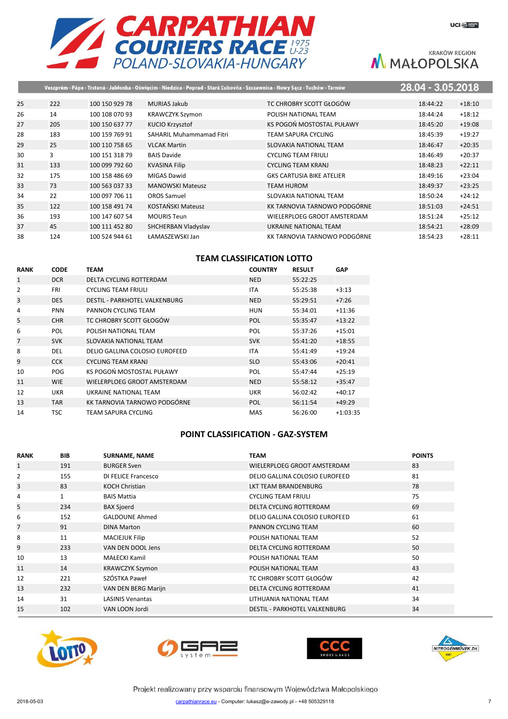

|    |     |                |                                 | Veszprém - Pápa - Trstená - Jabłonka - Oświęcim - Niedzica - Poprad - Stará Ľubovňa - Szczawnica - Nowy Sącz - Tuchów - Tarnów | 28.04 - 3.05.2018 |          |
|----|-----|----------------|---------------------------------|--------------------------------------------------------------------------------------------------------------------------------|-------------------|----------|
| 25 | 222 | 100 150 929 78 | <b>MURIAS Jakub</b>             | TC CHROBRY SCOTT GŁOGÓW                                                                                                        | 18:44:22          | $+18:10$ |
| 26 | 14  | 100 108 070 93 | <b>KRAWCZYK Szymon</b>          | POLISH NATIONAL TEAM                                                                                                           | 18:44:24          | $+18:12$ |
| 27 | 205 | 100 150 637 77 | <b>KUCIO Krzysztof</b>          | KS POGOŃ MOSTOSTAL PUŁAWY                                                                                                      | 18:45:20          | $+19:08$ |
| 28 | 183 | 100 159 769 91 | <b>SAHARIL Muhammamad Fitri</b> | TEAM SAPURA CYCLING                                                                                                            | 18:45:39          | $+19:27$ |
| 29 | 25  | 100 110 758 65 | <b>VLCAK Martin</b>             | <b>SLOVAKIA NATIONAL TEAM</b>                                                                                                  | 18:46:47          | $+20:35$ |
| 30 | 3   | 100 151 318 79 | <b>BAIS Davide</b>              | <b>CYCLING TEAM FRIULI</b>                                                                                                     | 18:46:49          | $+20:37$ |
| 31 | 133 | 100 099 792 60 | <b>KVASINA Filip</b>            | <b>CYCLING TEAM KRANJ</b>                                                                                                      | 18:48:23          | $+22:11$ |
| 32 | 175 | 100 158 486 69 | <b>MIGAS Dawid</b>              | <b>GKS CARTUSIA BIKE ATELIER</b>                                                                                               | 18:49:16          | $+23:04$ |
| 33 | 73  | 100 563 037 33 | <b>MANOWSKI Mateusz</b>         | TEAM HUROM                                                                                                                     | 18:49:37          | $+23:25$ |
| 34 | 22  | 100 097 706 11 | <b>OROS Samuel</b>              | SLOVAKIA NATIONAL TEAM                                                                                                         | 18:50:24          | $+24:12$ |
| 35 | 122 | 100 158 491 74 | <b>KOSTAŃSKI Mateusz</b>        | KK TARNOVIA TARNOWO PODGÓRNE                                                                                                   | 18:51:03          | $+24:51$ |
| 36 | 193 | 100 147 607 54 | <b>MOURIS Teun</b>              | WIELERPLOEG GROOT AMSTERDAM                                                                                                    | 18:51:24          | $+25:12$ |
| 37 | 45  | 100 111 452 80 | SHCHERBAN Vladyslav             | UKRAINE NATIONAL TEAM                                                                                                          | 18:54:21          | $+28:09$ |
| 38 | 124 | 100 524 944 61 | ŁAMASZEWSKI Jan                 | KK TARNOVIA TARNOWO PODGÓRNE                                                                                                   | 18:54:23          | $+28:11$ |

# **TEAM CLASSIFICATION LOTTO**

| <b>RANK</b>    | <b>CODE</b> | <b>TEAM</b>                          | <b>COUNTRY</b> | <b>RESULT</b> | GAP        |
|----------------|-------------|--------------------------------------|----------------|---------------|------------|
| $\mathbf{1}$   | <b>DCR</b>  | DELTA CYCLING ROTTERDAM              | <b>NED</b>     | 55:22:25      |            |
| 2              | <b>FRI</b>  | <b>CYCLING TEAM FRIULI</b>           | <b>ITA</b>     | 55:25:38      | $+3:13$    |
| 3              | <b>DES</b>  | <b>DESTIL - PARKHOTEL VALKENBURG</b> | <b>NED</b>     | 55:29:51      | $+7:26$    |
| 4              | <b>PNN</b>  | PANNON CYCLING TEAM                  | <b>HUN</b>     | 55:34:01      | $+11:36$   |
| 5              | <b>CHR</b>  | TC CHROBRY SCOTT GŁOGÓW              | POL            | 55:35:47      | $+13:22$   |
| 6              | <b>POL</b>  | POLISH NATIONAL TEAM                 | POL            | 55:37:26      | $+15:01$   |
| $\overline{7}$ | <b>SVK</b>  | SLOVAKIA NATIONAL TEAM               | <b>SVK</b>     | 55:41:20      | $+18:55$   |
| 8              | DEL         | DELIO GALLINA COLOSIO EUROFEED       | <b>ITA</b>     | 55:41:49      | $+19:24$   |
| 9              | <b>CCK</b>  | <b>CYCLING TEAM KRANJ</b>            | <b>SLO</b>     | 55:43:06      | $+20:41$   |
| 10             | POG         | KS POGOŃ MOSTOSTAL PUŁAWY            | <b>POL</b>     | 55:47:44      | $+25:19$   |
| 11             | <b>WIE</b>  | WIELERPLOEG GROOT AMSTERDAM          | <b>NED</b>     | 55:58:12      | $+35:47$   |
| 12             | <b>UKR</b>  | UKRAINE NATIONAL TEAM                | <b>UKR</b>     | 56:02:42      | $+40:17$   |
| 13             | <b>TAR</b>  | KK TARNOVIA TARNOWO PODGÓRNE         | <b>POL</b>     | 56:11:54      | $+49:29$   |
| 14             | <b>TSC</b>  | TEAM SAPURA CYCLING                  | MAS            | 56:26:00      | $+1:03:35$ |

## **POINT CLASSIFICATION - GAZ-SYSTEM**

| <b>RANK</b>  | <b>BIB</b>   | <b>SURNAME, NAME</b>    | <b>TEAM</b>                          | <b>POINTS</b> |
|--------------|--------------|-------------------------|--------------------------------------|---------------|
| $\mathbf{1}$ | 191          | <b>BURGER Sven</b>      | WIELERPLOEG GROOT AMSTERDAM          | 83            |
| 2            | 155          | DI FELICE Francesco     | DELIO GALLINA COLOSIO EUROFEED       | 81            |
| 3            | 83           | <b>KOCH Christian</b>   | LKT TEAM BRANDENBURG                 | 78            |
| 4            | $\mathbf{1}$ | <b>BAIS Mattia</b>      | <b>CYCLING TEAM FRIULI</b>           | 75            |
| 5            | 234          | <b>BAX Sjoerd</b>       | DELTA CYCLING ROTTERDAM              | 69            |
| 6            | 152          | <b>GALDOUNE Ahmed</b>   | DELIO GALLINA COLOSIO EUROFEED       | 61            |
| 7            | 91           | <b>DINA Marton</b>      | <b>PANNON CYCLING TEAM</b>           | 60            |
| 8            | 11           | <b>MACIEJUK Filip</b>   | POLISH NATIONAL TEAM                 | 52            |
| 9            | 233          | VAN DEN DOOL Jens       | DELTA CYCLING ROTTERDAM              | 50            |
| 10           | 13           | <b>MAŁECKI Kamil</b>    | POLISH NATIONAL TEAM                 | 50            |
| 11           | 14           | <b>KRAWCZYK Szymon</b>  | POLISH NATIONAL TEAM                 | 43            |
| 12           | 221          | SZÓSTKA Paweł           | TC CHROBRY SCOTT GŁOGÓW              | 42            |
| 13           | 232          | VAN DEN BERG Marijn     | DELTA CYCLING ROTTERDAM              | 41            |
| 14           | 31           | <b>LASINIS Venantas</b> | LITHUANIA NATIONAL TEAM              | 34            |
| 15           | 102          | VAN LOON Jordi          | <b>DESTIL - PARKHOTEL VALKENBURG</b> | 34            |







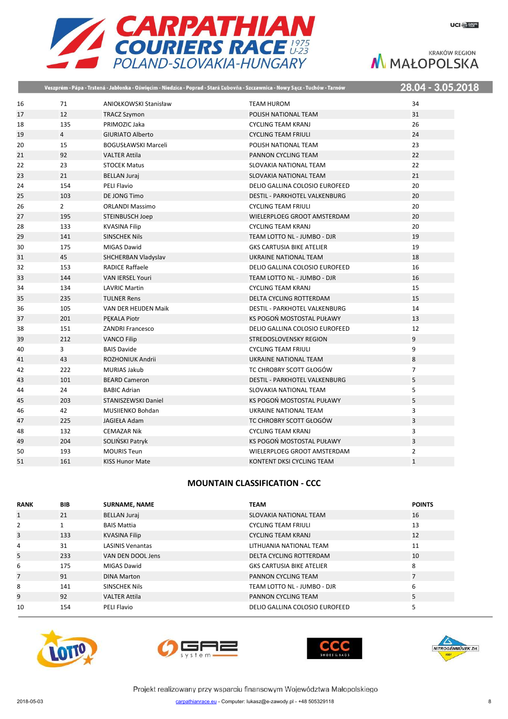| <b>EXARPATHIAN</b>        |
|---------------------------|
| <b>COURIERS RACE #275</b> |
| POLAND-SLOVAKIA-HUNGARY   |

|    |                |                            | Veszprém - Pápa - Trstená - Jabłonka - Oświęcim - Niedzica - Poprad - Stará Ľubovňa - Szczawnica - Nowy Sącz - Tuchów - Tarnów | 28.04 - 3.05.2018 |
|----|----------------|----------------------------|--------------------------------------------------------------------------------------------------------------------------------|-------------------|
| 16 | 71             | ANIOŁKOWSKI Stanisław      | <b>TEAM HUROM</b>                                                                                                              | 34                |
| 17 | 12             | <b>TRACZ Szymon</b>        | POLISH NATIONAL TEAM                                                                                                           | 31                |
| 18 | 135            | PRIMOZIC Jaka              | <b>CYCLING TEAM KRANJ</b>                                                                                                      | 26                |
| 19 | $\overline{4}$ | <b>GIURIATO Alberto</b>    | <b>CYCLING TEAM FRIULI</b>                                                                                                     | 24                |
| 20 | 15             | <b>BOGUSŁAWSKI Marceli</b> | POLISH NATIONAL TEAM                                                                                                           | 23                |
| 21 | 92             | <b>VALTER Attila</b>       | PANNON CYCLING TEAM                                                                                                            | 22                |
| 22 | 23             | <b>STOCEK Matus</b>        | SLOVAKIA NATIONAL TEAM                                                                                                         | 22                |
| 23 | 21             | <b>BELLAN Juraj</b>        | <b>SLOVAKIA NATIONAL TEAM</b>                                                                                                  | 21                |
| 24 | 154            | <b>PELI Flavio</b>         | DELIO GALLINA COLOSIO EUROFEED                                                                                                 | 20                |
| 25 | 103            | DE JONG Timo               | <b>DESTIL - PARKHOTEL VALKENBURG</b>                                                                                           | 20                |
| 26 | $\overline{2}$ | <b>ORLANDI Massimo</b>     | <b>CYCLING TEAM FRIULI</b>                                                                                                     | 20                |
| 27 | 195            | STEINBUSCH Joep            | WIELERPLOEG GROOT AMSTERDAM                                                                                                    | 20                |
| 28 | 133            | <b>KVASINA Filip</b>       | <b>CYCLING TEAM KRANJ</b>                                                                                                      | 20                |
| 29 | 141            | <b>SINSCHEK Nils</b>       | TEAM LOTTO NL - JUMBO - DJR                                                                                                    | 19                |
| 30 | 175            | MIGAS Dawid                | <b>GKS CARTUSIA BIKE ATELIER</b>                                                                                               | 19                |
| 31 | 45             | SHCHERBAN Vladyslav        | UKRAINE NATIONAL TEAM                                                                                                          | 18                |
| 32 | 153            | <b>RADICE Raffaele</b>     | DELIO GALLINA COLOSIO EUROFEED                                                                                                 | 16                |
| 33 | 144            | <b>VAN IERSEL Youri</b>    | TEAM LOTTO NL - JUMBO - DJR                                                                                                    | 16                |
| 34 | 134            | <b>LAVRIC Martin</b>       | <b>CYCLING TEAM KRANJ</b>                                                                                                      | 15                |
| 35 | 235            | <b>TULNER Rens</b>         | <b>DELTA CYCLING ROTTERDAM</b>                                                                                                 | 15                |
| 36 | 105            | VAN DER HEIJDEN Maik       | <b>DESTIL - PARKHOTEL VALKENBURG</b>                                                                                           | 14                |
| 37 | 201            | PEKALA Piotr               | KS POGOŃ MOSTOSTAL PUŁAWY                                                                                                      | 13                |
| 38 | 151            | <b>ZANDRI Francesco</b>    | DELIO GALLINA COLOSIO EUROFEED                                                                                                 | 12                |
| 39 | 212            | <b>VANCO Filip</b>         | STREDOSLOVENSKY REGION                                                                                                         | 9                 |
| 40 | 3              | <b>BAIS Davide</b>         | <b>CYCLING TEAM FRIULI</b>                                                                                                     | 9                 |
| 41 | 43             | ROZHONIUK Andrii           | <b>UKRAINE NATIONAL TEAM</b>                                                                                                   | 8                 |
| 42 | 222            | <b>MURIAS Jakub</b>        | TC CHROBRY SCOTT GŁOGÓW                                                                                                        | $\overline{7}$    |
| 43 | 101            | <b>BEARD Cameron</b>       | <b>DESTIL - PARKHOTEL VALKENBURG</b>                                                                                           | 5                 |
| 44 | 24             | <b>BABIC Adrian</b>        | SLOVAKIA NATIONAL TEAM                                                                                                         | 5                 |
| 45 | 203            | <b>STANISZEWSKI Daniel</b> | KS POGOŃ MOSTOSTAL PUŁAWY                                                                                                      | 5                 |
| 46 | 42             | <b>MUSIIENKO Bohdan</b>    | UKRAINE NATIONAL TEAM                                                                                                          | 3                 |
| 47 | 225            | <b>JAGIEŁA Adam</b>        | TC CHROBRY SCOTT GŁOGÓW                                                                                                        | $\overline{3}$    |
| 48 | 132            | <b>CEMAZAR Nik</b>         | <b>CYCLING TEAM KRANJ</b>                                                                                                      | 3                 |
| 49 | 204            | SOLIŃSKI Patryk            | KS POGOŃ MOSTOSTAL PUŁAWY                                                                                                      | $\overline{3}$    |
| 50 | 193            | <b>MOURIS Teun</b>         | WIELERPLOEG GROOT AMSTERDAM                                                                                                    | $\overline{2}$    |
| 51 | 161            | <b>KISS Hunor Mate</b>     | KONTENT DKSI CYCLING TEAM                                                                                                      | $\mathbf{1}$      |

# **MOUNTAIN CLASSIFICATION - CCC**

| <b>RANK</b>    | <b>BIB</b> | <b>SURNAME, NAME</b>    | TEAM                             | <b>POINTS</b>  |
|----------------|------------|-------------------------|----------------------------------|----------------|
| $\mathbf{1}$   | 21         | <b>BELLAN Juraj</b>     | SLOVAKIA NATIONAL TEAM           | 16             |
| 2              |            | <b>BAIS Mattia</b>      | <b>CYCLING TEAM FRIULI</b>       | 13             |
| 3              | 133        | <b>KVASINA Filip</b>    | <b>CYCLING TEAM KRANJ</b>        | 12             |
| 4              | 31         | <b>LASINIS Venantas</b> | LITHUANIA NATIONAL TEAM          | 11             |
| 5              | 233        | VAN DEN DOOL Jens       | DELTA CYCLING ROTTERDAM          | 10             |
| 6              | 175        | <b>MIGAS Dawid</b>      | <b>GKS CARTUSIA BIKE ATELIER</b> | 8              |
| $\overline{7}$ | 91         | <b>DINA Marton</b>      | <b>PANNON CYCLING TEAM</b>       | $\overline{7}$ |
| 8              | 141        | <b>SINSCHEK Nils</b>    | TEAM LOTTO NL - JUMBO - DJR      | 6              |
| 9              | 92         | <b>VALTER Attila</b>    | <b>PANNON CYCLING TEAM</b>       | 5              |
| 10             | 154        | PELI Flavio             | DELIO GALLINA COLOSIO EUROFEED   | 5              |







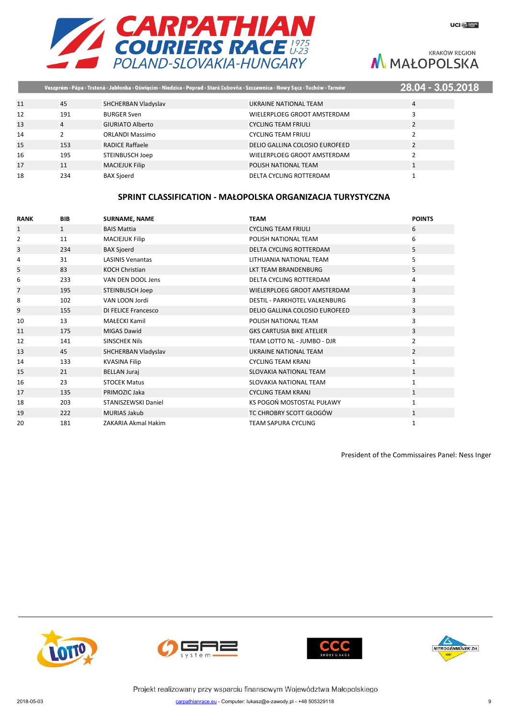

|    |     |                         | Veszprém - Pápa - Trstená - Jabłonka - Oświęcim - Niedzica - Poprad - Stará Ľubovňa - Szczawnica - Nowy Sącz - Tuchów - Tarnów | 28.04 - 3.05.2018 |  |
|----|-----|-------------------------|--------------------------------------------------------------------------------------------------------------------------------|-------------------|--|
|    |     |                         |                                                                                                                                |                   |  |
| 11 | 45  | SHCHERBAN Vladyslav     | UKRAINE NATIONAL TEAM                                                                                                          | 4                 |  |
| 12 | 191 | <b>BURGER Sven</b>      | WIELERPLOEG GROOT AMSTERDAM                                                                                                    |                   |  |
| 13 | 4   | <b>GIURIATO Alberto</b> | <b>CYCLING TEAM FRIULI</b>                                                                                                     | 2                 |  |
| 14 |     | <b>ORLANDI Massimo</b>  | <b>CYCLING TEAM FRIULI</b>                                                                                                     |                   |  |
| 15 | 153 | <b>RADICE Raffaele</b>  | DELIO GALLINA COLOSIO EUROFEED                                                                                                 |                   |  |
| 16 | 195 | STEINBUSCH Joep         | WIELERPLOEG GROOT AMSTERDAM                                                                                                    |                   |  |
| 17 | 11  | <b>MACIEJUK Filip</b>   | POLISH NATIONAL TEAM                                                                                                           |                   |  |
| 18 | 234 | <b>BAX Sjoerd</b>       | DELTA CYCLING ROTTERDAM                                                                                                        |                   |  |
|    |     |                         |                                                                                                                                |                   |  |

## **SPRINT CLASSIFICATION - MAŁOPOLSKA ORGANIZACJA TURYSTYCZNA**

| <b>RANK</b> | <b>BIB</b>   | <b>SURNAME, NAME</b>       | <b>TEAM</b>                          | <b>POINTS</b>  |
|-------------|--------------|----------------------------|--------------------------------------|----------------|
| 1           | $\mathbf{1}$ | <b>BAIS Mattia</b>         | <b>CYCLING TEAM FRIULI</b>           | 6              |
| 2           | 11           | <b>MACIEJUK Filip</b>      | POLISH NATIONAL TEAM                 | 6              |
| 3           | 234          | <b>BAX Sjoerd</b>          | <b>DELTA CYCLING ROTTERDAM</b>       | 5              |
| 4           | 31           | <b>LASINIS Venantas</b>    | LITHUANIA NATIONAL TEAM              | 5              |
| 5           | 83           | <b>KOCH Christian</b>      | <b>LKT TEAM BRANDENBURG</b>          | 5              |
| 6           | 233          | VAN DEN DOOL Jens          | DELTA CYCLING ROTTERDAM              | 4              |
| 7           | 195          | STEINBUSCH Joep            | WIELERPLOEG GROOT AMSTERDAM          | 3              |
| 8           | 102          | VAN LOON Jordi             | <b>DESTIL - PARKHOTEL VALKENBURG</b> | 3              |
| 9           | 155          | <b>DI FELICE Francesco</b> | DELIO GALLINA COLOSIO EUROFEED       | 3              |
| 10          | 13           | <b>MAŁECKI Kamil</b>       | POLISH NATIONAL TEAM                 | 3              |
| 11          | 175          | <b>MIGAS Dawid</b>         | <b>GKS CARTUSIA BIKE ATELIER</b>     | 3              |
| 12          | 141          | <b>SINSCHEK Nils</b>       | TEAM LOTTO NL - JUMBO - DJR          | $\overline{2}$ |
| 13          | 45           | SHCHERBAN Vladyslav        | UKRAINE NATIONAL TEAM                | $\overline{2}$ |
| 14          | 133          | <b>KVASINA Filip</b>       | <b>CYCLING TEAM KRANJ</b>            | $\mathbf{1}$   |
| 15          | 21           | <b>BELLAN Juraj</b>        | <b>SLOVAKIA NATIONAL TEAM</b>        | $\mathbf{1}$   |
| 16          | 23           | <b>STOCEK Matus</b>        | <b>SLOVAKIA NATIONAL TEAM</b>        | $\mathbf{1}$   |
| 17          | 135          | PRIMOZIC Jaka              | <b>CYCLING TEAM KRANJ</b>            | $\mathbf{1}$   |
| 18          | 203          | STANISZEWSKI Daniel        | KS POGOŃ MOSTOSTAL PUŁAWY            | $\mathbf{1}$   |
| 19          | 222          | <b>MURIAS Jakub</b>        | TC CHROBRY SCOTT GŁOGÓW              | $\mathbf{1}$   |
| 20          | 181          | ZAKARIA Akmal Hakim        | <b>TEAM SAPURA CYCLING</b>           | 1              |

President of the Commissaires Panel: Ness Inger